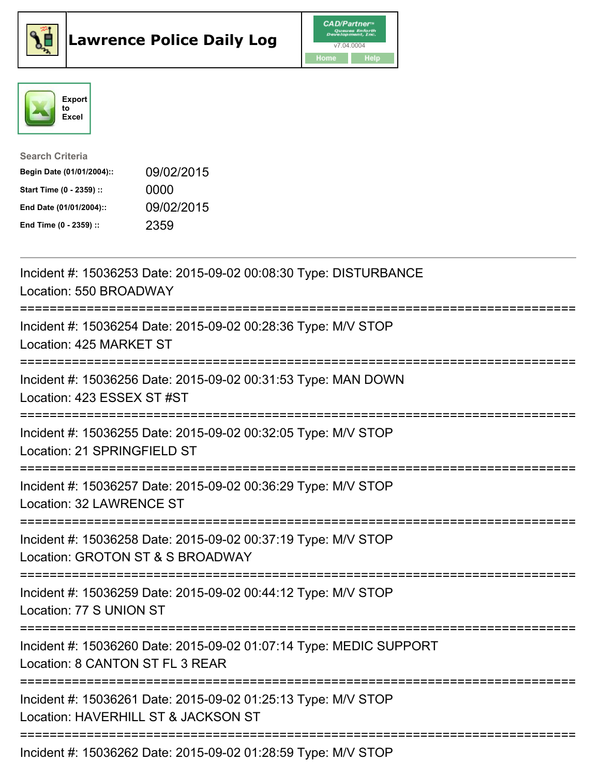





| <b>Search Criteria</b>    |            |
|---------------------------|------------|
| Begin Date (01/01/2004):: | 09/02/2015 |
| Start Time (0 - 2359) ::  | 0000       |
| End Date (01/01/2004)::   | 09/02/2015 |
| End Time (0 - 2359) ::    | 2359       |

| Incident #: 15036253 Date: 2015-09-02 00:08:30 Type: DISTURBANCE<br>Location: 550 BROADWAY<br>-------------                        |
|------------------------------------------------------------------------------------------------------------------------------------|
| Incident #: 15036254 Date: 2015-09-02 00:28:36 Type: M/V STOP<br>Location: 425 MARKET ST<br>:=================                     |
| Incident #: 15036256 Date: 2015-09-02 00:31:53 Type: MAN DOWN<br>Location: 423 ESSEX ST #ST                                        |
| Incident #: 15036255 Date: 2015-09-02 00:32:05 Type: M/V STOP<br>Location: 21 SPRINGFIELD ST                                       |
| Incident #: 15036257 Date: 2015-09-02 00:36:29 Type: M/V STOP<br>Location: 32 LAWRENCE ST<br>===================================== |
| Incident #: 15036258 Date: 2015-09-02 00:37:19 Type: M/V STOP<br>Location: GROTON ST & S BROADWAY<br>------------------------      |
| Incident #: 15036259 Date: 2015-09-02 00:44:12 Type: M/V STOP<br>Location: 77 S UNION ST                                           |
| Incident #: 15036260 Date: 2015-09-02 01:07:14 Type: MEDIC SUPPORT<br>Location: 8 CANTON ST FL 3 REAR                              |
| Incident #: 15036261 Date: 2015-09-02 01:25:13 Type: M/V STOP<br>Location: HAVERHILL ST & JACKSON ST                               |
| ======================================<br>Incident #: 15036262 Date: 2015-09-02 01:28:59 Type: M/V STOP                            |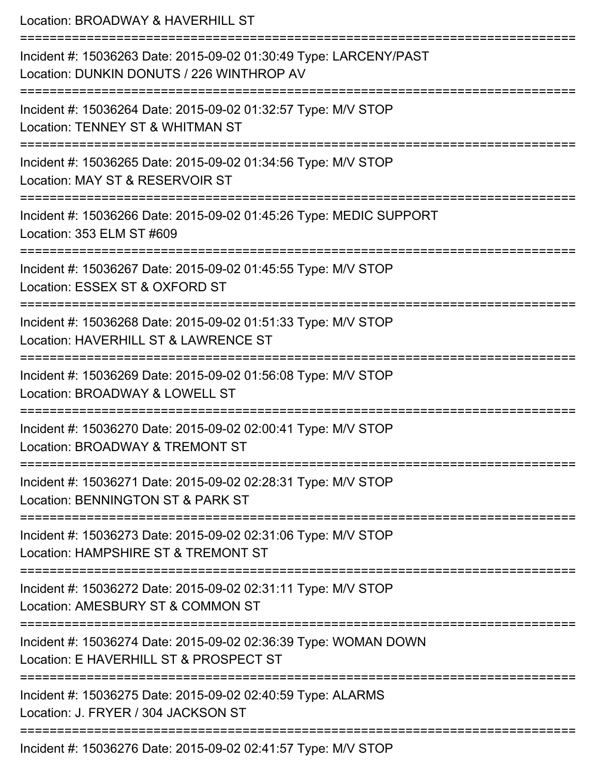| Location: BROADWAY & HAVERHILL ST                                                                                                 |
|-----------------------------------------------------------------------------------------------------------------------------------|
| Incident #: 15036263 Date: 2015-09-02 01:30:49 Type: LARCENY/PAST<br>Location: DUNKIN DONUTS / 226 WINTHROP AV                    |
| ============================<br>Incident #: 15036264 Date: 2015-09-02 01:32:57 Type: M/V STOP<br>Location: TENNEY ST & WHITMAN ST |
| Incident #: 15036265 Date: 2015-09-02 01:34:56 Type: M/V STOP<br>Location: MAY ST & RESERVOIR ST<br>:===========================  |
| Incident #: 15036266 Date: 2015-09-02 01:45:26 Type: MEDIC SUPPORT<br>Location: 353 ELM ST #609                                   |
| Incident #: 15036267 Date: 2015-09-02 01:45:55 Type: M/V STOP<br>Location: ESSEX ST & OXFORD ST                                   |
| ================<br>Incident #: 15036268 Date: 2015-09-02 01:51:33 Type: M/V STOP<br>Location: HAVERHILL ST & LAWRENCE ST         |
| Incident #: 15036269 Date: 2015-09-02 01:56:08 Type: M/V STOP<br>Location: BROADWAY & LOWELL ST                                   |
| Incident #: 15036270 Date: 2015-09-02 02:00:41 Type: M/V STOP<br>Location: BROADWAY & TREMONT ST                                  |
| Incident #: 15036271 Date: 2015-09-02 02:28:31 Type: M/V STOP<br>Location: BENNINGTON ST & PARK ST                                |
| Incident #: 15036273 Date: 2015-09-02 02:31:06 Type: M/V STOP<br>Location: HAMPSHIRE ST & TREMONT ST                              |
| Incident #: 15036272 Date: 2015-09-02 02:31:11 Type: M/V STOP<br>Location: AMESBURY ST & COMMON ST                                |
| Incident #: 15036274 Date: 2015-09-02 02:36:39 Type: WOMAN DOWN<br>Location: E HAVERHILL ST & PROSPECT ST                         |
| Incident #: 15036275 Date: 2015-09-02 02:40:59 Type: ALARMS<br>Location: J. FRYER / 304 JACKSON ST                                |
| Incident #: 15036276 Date: 2015-09-02 02:41:57 Type: M/V STOP                                                                     |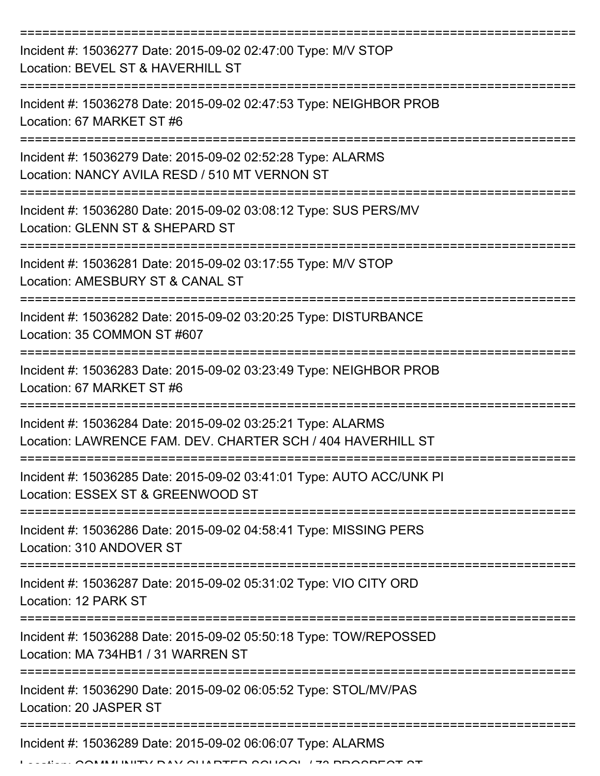| Incident #: 15036277 Date: 2015-09-02 02:47:00 Type: M/V STOP<br>Location: BEVEL ST & HAVERHILL ST                         |
|----------------------------------------------------------------------------------------------------------------------------|
| Incident #: 15036278 Date: 2015-09-02 02:47:53 Type: NEIGHBOR PROB<br>Location: 67 MARKET ST #6                            |
| Incident #: 15036279 Date: 2015-09-02 02:52:28 Type: ALARMS<br>Location: NANCY AVILA RESD / 510 MT VERNON ST               |
| Incident #: 15036280 Date: 2015-09-02 03:08:12 Type: SUS PERS/MV<br>Location: GLENN ST & SHEPARD ST                        |
| Incident #: 15036281 Date: 2015-09-02 03:17:55 Type: M/V STOP<br>Location: AMESBURY ST & CANAL ST                          |
| Incident #: 15036282 Date: 2015-09-02 03:20:25 Type: DISTURBANCE<br>Location: 35 COMMON ST #607                            |
| Incident #: 15036283 Date: 2015-09-02 03:23:49 Type: NEIGHBOR PROB<br>Location: 67 MARKET ST #6                            |
| Incident #: 15036284 Date: 2015-09-02 03:25:21 Type: ALARMS<br>Location: LAWRENCE FAM. DEV. CHARTER SCH / 404 HAVERHILL ST |
| Incident #: 15036285 Date: 2015-09-02 03:41:01 Type: AUTO ACC/UNK PI<br>Location: ESSEX ST & GREENWOOD ST                  |
| Incident #: 15036286 Date: 2015-09-02 04:58:41 Type: MISSING PERS<br>Location: 310 ANDOVER ST                              |
| Incident #: 15036287 Date: 2015-09-02 05:31:02 Type: VIO CITY ORD<br>Location: 12 PARK ST                                  |
| Incident #: 15036288 Date: 2015-09-02 05:50:18 Type: TOW/REPOSSED<br>Location: MA 734HB1 / 31 WARREN ST                    |
| Incident #: 15036290 Date: 2015-09-02 06:05:52 Type: STOL/MV/PAS<br>Location: 20 JASPER ST                                 |
| Incident #: 15036289 Date: 2015-09-02 06:06:07 Type: ALARMS<br>MIINIITY DAV AIIADTED QQUQQL 170 DDQQDEQT QT                |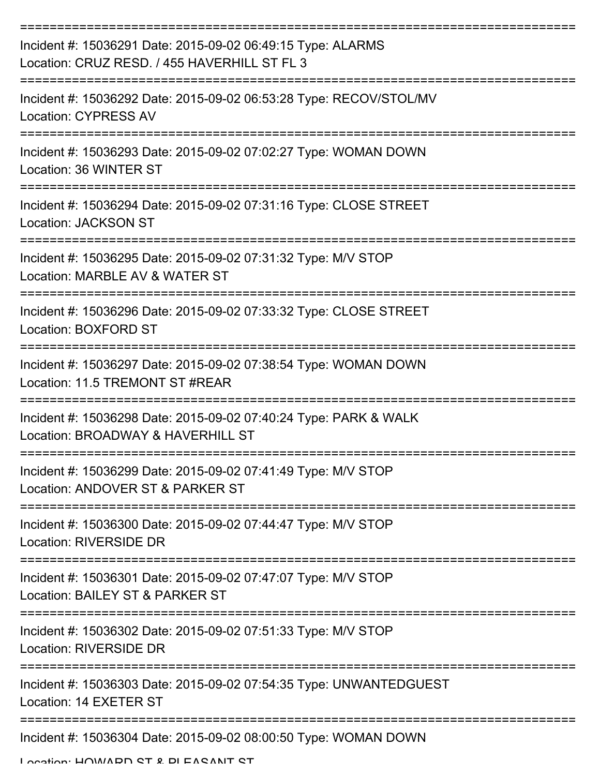| Incident #: 15036291 Date: 2015-09-02 06:49:15 Type: ALARMS<br>Location: CRUZ RESD, / 455 HAVERHILL ST FL 3 |
|-------------------------------------------------------------------------------------------------------------|
| Incident #: 15036292 Date: 2015-09-02 06:53:28 Type: RECOV/STOL/MV<br><b>Location: CYPRESS AV</b>           |
| Incident #: 15036293 Date: 2015-09-02 07:02:27 Type: WOMAN DOWN<br>Location: 36 WINTER ST                   |
| Incident #: 15036294 Date: 2015-09-02 07:31:16 Type: CLOSE STREET<br>Location: JACKSON ST                   |
| Incident #: 15036295 Date: 2015-09-02 07:31:32 Type: M/V STOP<br>Location: MARBLE AV & WATER ST             |
| Incident #: 15036296 Date: 2015-09-02 07:33:32 Type: CLOSE STREET<br>Location: BOXFORD ST                   |
| Incident #: 15036297 Date: 2015-09-02 07:38:54 Type: WOMAN DOWN<br>Location: 11.5 TREMONT ST #REAR          |
| Incident #: 15036298 Date: 2015-09-02 07:40:24 Type: PARK & WALK<br>Location: BROADWAY & HAVERHILL ST       |
| Incident #: 15036299 Date: 2015-09-02 07:41:49 Type: M/V STOP<br>Location: ANDOVER ST & PARKER ST           |
| Incident #: 15036300 Date: 2015-09-02 07:44:47 Type: M/V STOP<br>Location: RIVERSIDE DR                     |
| Incident #: 15036301 Date: 2015-09-02 07:47:07 Type: M/V STOP<br>Location: BAILEY ST & PARKER ST            |
| Incident #: 15036302 Date: 2015-09-02 07:51:33 Type: M/V STOP<br>Location: RIVERSIDE DR                     |
| Incident #: 15036303 Date: 2015-09-02 07:54:35 Type: UNWANTEDGUEST<br>Location: 14 EXETER ST                |
| Incident #: 15036304 Date: 2015-09-02 08:00:50 Type: WOMAN DOWN                                             |

Location: HOMADD ST & DI EASANT ST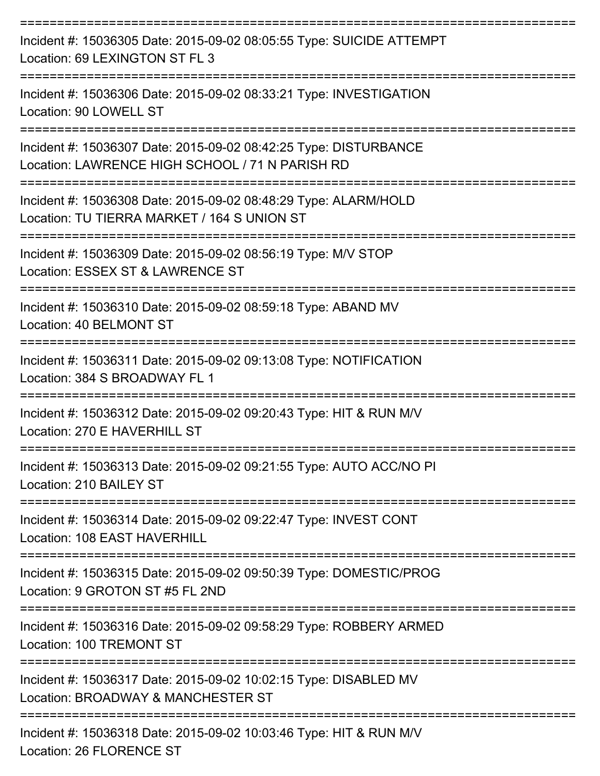| Incident #: 15036305 Date: 2015-09-02 08:05:55 Type: SUICIDE ATTEMPT<br>Location: 69 LEXINGTON ST FL 3              |
|---------------------------------------------------------------------------------------------------------------------|
| Incident #: 15036306 Date: 2015-09-02 08:33:21 Type: INVESTIGATION<br>Location: 90 LOWELL ST                        |
| Incident #: 15036307 Date: 2015-09-02 08:42:25 Type: DISTURBANCE<br>Location: LAWRENCE HIGH SCHOOL / 71 N PARISH RD |
| Incident #: 15036308 Date: 2015-09-02 08:48:29 Type: ALARM/HOLD<br>Location: TU TIERRA MARKET / 164 S UNION ST      |
| Incident #: 15036309 Date: 2015-09-02 08:56:19 Type: M/V STOP<br>Location: ESSEX ST & LAWRENCE ST                   |
| Incident #: 15036310 Date: 2015-09-02 08:59:18 Type: ABAND MV<br>Location: 40 BELMONT ST                            |
| Incident #: 15036311 Date: 2015-09-02 09:13:08 Type: NOTIFICATION<br>Location: 384 S BROADWAY FL 1                  |
| Incident #: 15036312 Date: 2015-09-02 09:20:43 Type: HIT & RUN M/V<br>Location: 270 F HAVERHILL ST                  |
| Incident #: 15036313 Date: 2015-09-02 09:21:55 Type: AUTO ACC/NO PI<br>Location: 210 BAILEY ST                      |
| Incident #: 15036314 Date: 2015-09-02 09:22:47 Type: INVEST CONT<br>Location: 108 EAST HAVERHILL                    |
| Incident #: 15036315 Date: 2015-09-02 09:50:39 Type: DOMESTIC/PROG<br>Location: 9 GROTON ST #5 FL 2ND               |
| Incident #: 15036316 Date: 2015-09-02 09:58:29 Type: ROBBERY ARMED<br>Location: 100 TREMONT ST                      |
| Incident #: 15036317 Date: 2015-09-02 10:02:15 Type: DISABLED MV<br>Location: BROADWAY & MANCHESTER ST              |
| Incident #: 15036318 Date: 2015-09-02 10:03:46 Type: HIT & RUN M/V                                                  |

Location: 26 FLORENCE ST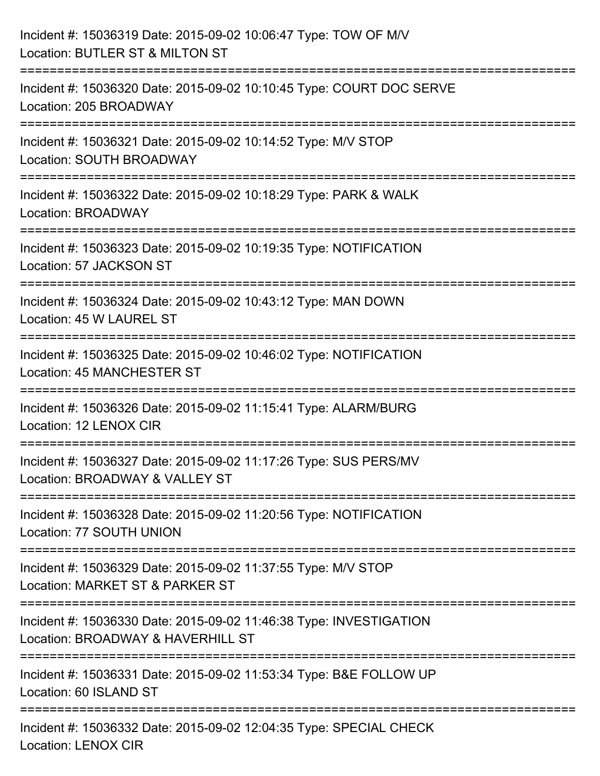| Incident #: 15036319 Date: 2015-09-02 10:06:47 Type: TOW OF M/V<br>Location: BUTLER ST & MILTON ST                            |
|-------------------------------------------------------------------------------------------------------------------------------|
| Incident #: 15036320 Date: 2015-09-02 10:10:45 Type: COURT DOC SERVE<br>Location: 205 BROADWAY                                |
| Incident #: 15036321 Date: 2015-09-02 10:14:52 Type: M/V STOP<br>Location: SOUTH BROADWAY                                     |
| ;==================================<br>Incident #: 15036322 Date: 2015-09-02 10:18:29 Type: PARK & WALK<br>Location: BROADWAY |
| Incident #: 15036323 Date: 2015-09-02 10:19:35 Type: NOTIFICATION<br>Location: 57 JACKSON ST                                  |
| ==============================<br>Incident #: 15036324 Date: 2015-09-02 10:43:12 Type: MAN DOWN<br>Location: 45 W LAUREL ST   |
| Incident #: 15036325 Date: 2015-09-02 10:46:02 Type: NOTIFICATION<br>Location: 45 MANCHESTER ST                               |
| Incident #: 15036326 Date: 2015-09-02 11:15:41 Type: ALARM/BURG<br>Location: 12 LENOX CIR                                     |
| Incident #: 15036327 Date: 2015-09-02 11:17:26 Type: SUS PERS/MV<br>Location: BROADWAY & VALLEY ST                            |
| Incident #: 15036328 Date: 2015-09-02 11:20:56 Type: NOTIFICATION<br>Location: 77 SOUTH UNION                                 |
| Incident #: 15036329 Date: 2015-09-02 11:37:55 Type: M/V STOP<br>Location: MARKET ST & PARKER ST                              |
| Incident #: 15036330 Date: 2015-09-02 11:46:38 Type: INVESTIGATION<br>Location: BROADWAY & HAVERHILL ST                       |
| Incident #: 15036331 Date: 2015-09-02 11:53:34 Type: B&E FOLLOW UP<br>Location: 60 ISLAND ST                                  |
| Incident #: 15036332 Date: 2015-09-02 12:04:35 Type: SPECIAL CHECK<br><b>Location: LENOX CIR</b>                              |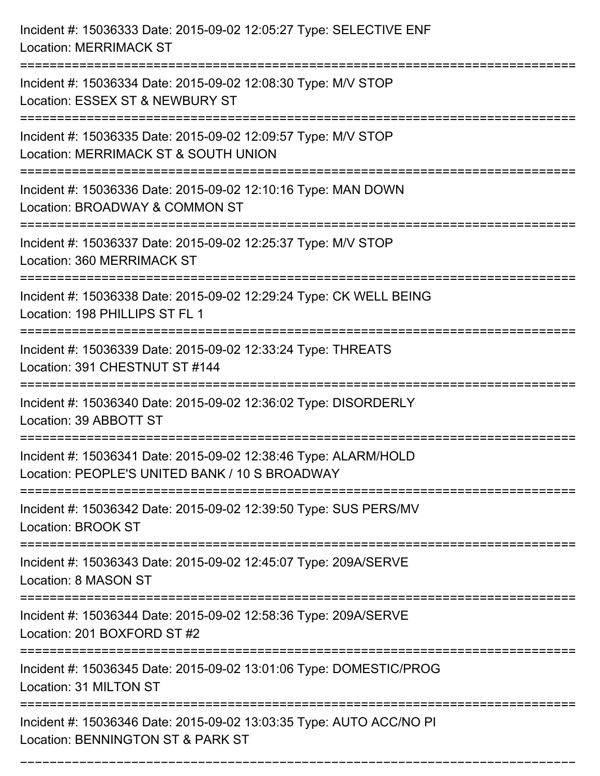| Incident #: 15036333 Date: 2015-09-02 12:05:27 Type: SELECTIVE ENF<br><b>Location: MERRIMACK ST</b>                                  |
|--------------------------------------------------------------------------------------------------------------------------------------|
| Incident #: 15036334 Date: 2015-09-02 12:08:30 Type: M/V STOP<br>Location: ESSEX ST & NEWBURY ST                                     |
| Incident #: 15036335 Date: 2015-09-02 12:09:57 Type: M/V STOP<br>Location: MERRIMACK ST & SOUTH UNION<br>:========================== |
| Incident #: 15036336 Date: 2015-09-02 12:10:16 Type: MAN DOWN<br>Location: BROADWAY & COMMON ST                                      |
| Incident #: 15036337 Date: 2015-09-02 12:25:37 Type: M/V STOP<br>Location: 360 MERRIMACK ST                                          |
| Incident #: 15036338 Date: 2015-09-02 12:29:24 Type: CK WELL BEING<br>Location: 198 PHILLIPS ST FL 1                                 |
| Incident #: 15036339 Date: 2015-09-02 12:33:24 Type: THREATS<br>Location: 391 CHESTNUT ST #144                                       |
| Incident #: 15036340 Date: 2015-09-02 12:36:02 Type: DISORDERLY<br>Location: 39 ABBOTT ST                                            |
| Incident #: 15036341 Date: 2015-09-02 12:38:46 Type: ALARM/HOLD<br>Location: PEOPLE'S UNITED BANK / 10 S BROADWAY                    |
| Incident #: 15036342 Date: 2015-09-02 12:39:50 Type: SUS PERS/MV<br><b>Location: BROOK ST</b>                                        |
| Incident #: 15036343 Date: 2015-09-02 12:45:07 Type: 209A/SERVE<br>Location: 8 MASON ST                                              |
| Incident #: 15036344 Date: 2015-09-02 12:58:36 Type: 209A/SERVE<br>Location: 201 BOXFORD ST #2                                       |
| Incident #: 15036345 Date: 2015-09-02 13:01:06 Type: DOMESTIC/PROG<br>Location: 31 MILTON ST                                         |
| Incident #: 15036346 Date: 2015-09-02 13:03:35 Type: AUTO ACC/NO PI<br>Location: BENNINGTON ST & PARK ST                             |

===========================================================================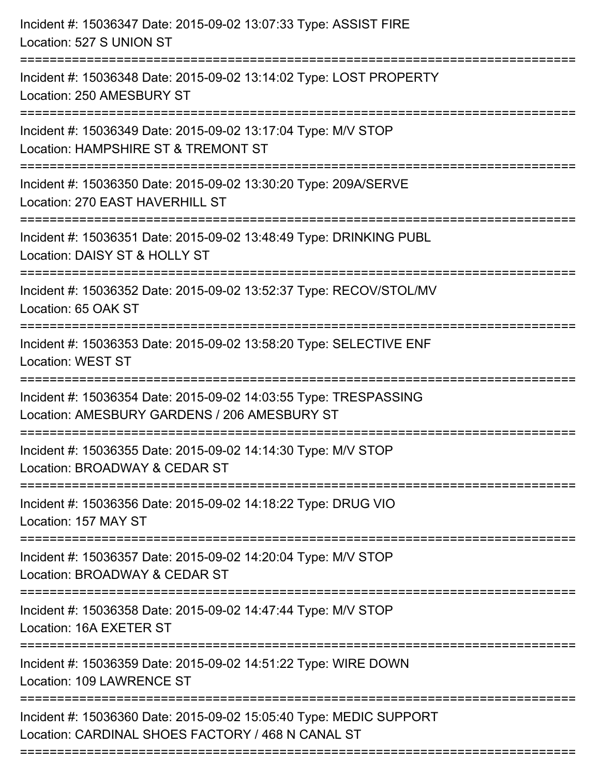| Incident #: 15036347 Date: 2015-09-02 13:07:33 Type: ASSIST FIRE<br>Location: 527 S UNION ST                                            |
|-----------------------------------------------------------------------------------------------------------------------------------------|
| Incident #: 15036348 Date: 2015-09-02 13:14:02 Type: LOST PROPERTY<br>Location: 250 AMESBURY ST                                         |
| Incident #: 15036349 Date: 2015-09-02 13:17:04 Type: M/V STOP<br>Location: HAMPSHIRE ST & TREMONT ST<br>=====================           |
| Incident #: 15036350 Date: 2015-09-02 13:30:20 Type: 209A/SERVE<br>Location: 270 EAST HAVERHILL ST                                      |
| Incident #: 15036351 Date: 2015-09-02 13:48:49 Type: DRINKING PUBL<br>Location: DAISY ST & HOLLY ST<br>------------<br>:=============== |
| Incident #: 15036352 Date: 2015-09-02 13:52:37 Type: RECOV/STOL/MV<br>Location: 65 OAK ST                                               |
| Incident #: 15036353 Date: 2015-09-02 13:58:20 Type: SELECTIVE ENF<br><b>Location: WEST ST</b>                                          |
| Incident #: 15036354 Date: 2015-09-02 14:03:55 Type: TRESPASSING<br>Location: AMESBURY GARDENS / 206 AMESBURY ST                        |
| Incident #: 15036355 Date: 2015-09-02 14:14:30 Type: M/V STOP<br>Location: BROADWAY & CEDAR ST                                          |
| Incident #: 15036356 Date: 2015-09-02 14:18:22 Type: DRUG VIO<br>Location: 157 MAY ST                                                   |
| Incident #: 15036357 Date: 2015-09-02 14:20:04 Type: M/V STOP<br>Location: BROADWAY & CEDAR ST                                          |
| Incident #: 15036358 Date: 2015-09-02 14:47:44 Type: M/V STOP<br>Location: 16A EXETER ST                                                |
| Incident #: 15036359 Date: 2015-09-02 14:51:22 Type: WIRE DOWN<br>Location: 109 LAWRENCE ST                                             |
| Incident #: 15036360 Date: 2015-09-02 15:05:40 Type: MEDIC SUPPORT<br>Location: CARDINAL SHOES FACTORY / 468 N CANAL ST                 |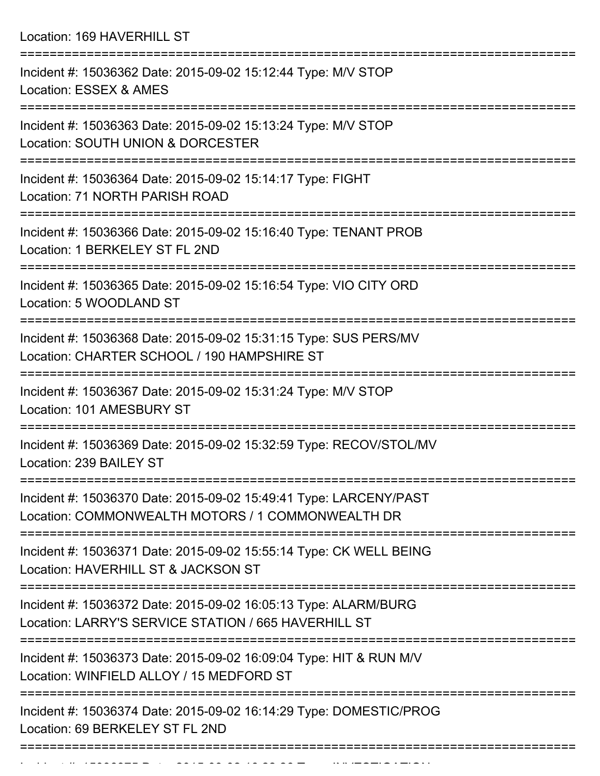Location: 169 HAVERHILL ST

| Incident #: 15036362 Date: 2015-09-02 15:12:44 Type: M/V STOP<br>Location: ESSEX & AMES                                 |
|-------------------------------------------------------------------------------------------------------------------------|
| Incident #: 15036363 Date: 2015-09-02 15:13:24 Type: M/V STOP<br>Location: SOUTH UNION & DORCESTER                      |
| Incident #: 15036364 Date: 2015-09-02 15:14:17 Type: FIGHT<br>Location: 71 NORTH PARISH ROAD                            |
| Incident #: 15036366 Date: 2015-09-02 15:16:40 Type: TENANT PROB<br>Location: 1 BERKELEY ST FL 2ND                      |
| Incident #: 15036365 Date: 2015-09-02 15:16:54 Type: VIO CITY ORD<br>Location: 5 WOODLAND ST                            |
| Incident #: 15036368 Date: 2015-09-02 15:31:15 Type: SUS PERS/MV<br>Location: CHARTER SCHOOL / 190 HAMPSHIRE ST         |
| Incident #: 15036367 Date: 2015-09-02 15:31:24 Type: M/V STOP<br>Location: 101 AMESBURY ST                              |
| Incident #: 15036369 Date: 2015-09-02 15:32:59 Type: RECOV/STOL/MV<br>Location: 239 BAILEY ST                           |
| Incident #: 15036370 Date: 2015-09-02 15:49:41 Type: LARCENY/PAST<br>Location: COMMONWEALTH MOTORS / 1 COMMONWEALTH DR  |
| Incident #: 15036371 Date: 2015-09-02 15:55:14 Type: CK WELL BEING<br>Location: HAVERHILL ST & JACKSON ST               |
| Incident #: 15036372 Date: 2015-09-02 16:05:13 Type: ALARM/BURG<br>Location: LARRY'S SERVICE STATION / 665 HAVERHILL ST |
| Incident #: 15036373 Date: 2015-09-02 16:09:04 Type: HIT & RUN M/V<br>Location: WINFIELD ALLOY / 15 MEDFORD ST          |
| Incident #: 15036374 Date: 2015-09-02 16:14:29 Type: DOMESTIC/PROG<br>Location: 69 BERKELEY ST FL 2ND                   |
|                                                                                                                         |

Incident #: 15036375 Date: 2015 09 02 16:22:26 Type: INVESTIGATION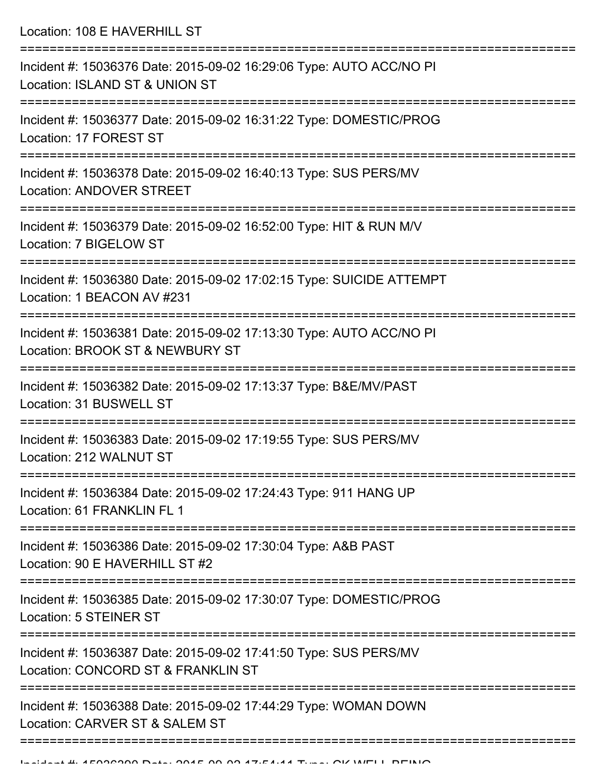Location: 108 E HAVERHILL ST

| Incident #: 15036376 Date: 2015-09-02 16:29:06 Type: AUTO ACC/NO PI<br>Location: ISLAND ST & UNION ST  |
|--------------------------------------------------------------------------------------------------------|
| Incident #: 15036377 Date: 2015-09-02 16:31:22 Type: DOMESTIC/PROG<br>Location: 17 FOREST ST           |
| Incident #: 15036378 Date: 2015-09-02 16:40:13 Type: SUS PERS/MV<br><b>Location: ANDOVER STREET</b>    |
| Incident #: 15036379 Date: 2015-09-02 16:52:00 Type: HIT & RUN M/V<br>Location: 7 BIGELOW ST           |
| Incident #: 15036380 Date: 2015-09-02 17:02:15 Type: SUICIDE ATTEMPT<br>Location: 1 BEACON AV #231     |
| Incident #: 15036381 Date: 2015-09-02 17:13:30 Type: AUTO ACC/NO PI<br>Location: BROOK ST & NEWBURY ST |
| Incident #: 15036382 Date: 2015-09-02 17:13:37 Type: B&E/MV/PAST<br>Location: 31 BUSWELL ST            |
| Incident #: 15036383 Date: 2015-09-02 17:19:55 Type: SUS PERS/MV<br>Location: 212 WALNUT ST            |
| Incident #: 15036384 Date: 2015-09-02 17:24:43 Type: 911 HANG UP<br>Location: 61 FRANKLIN FL 1         |
| Incident #: 15036386 Date: 2015-09-02 17:30:04 Type: A&B PAST<br>Location: 90 E HAVERHILL ST #2        |
| Incident #: 15036385 Date: 2015-09-02 17:30:07 Type: DOMESTIC/PROG<br><b>Location: 5 STEINER ST</b>    |
| Incident #: 15036387 Date: 2015-09-02 17:41:50 Type: SUS PERS/MV<br>Location: CONCORD ST & FRANKLIN ST |
| Incident #: 15036388 Date: 2015-09-02 17:44:29 Type: WOMAN DOWN<br>Location: CARVER ST & SALEM ST      |
|                                                                                                        |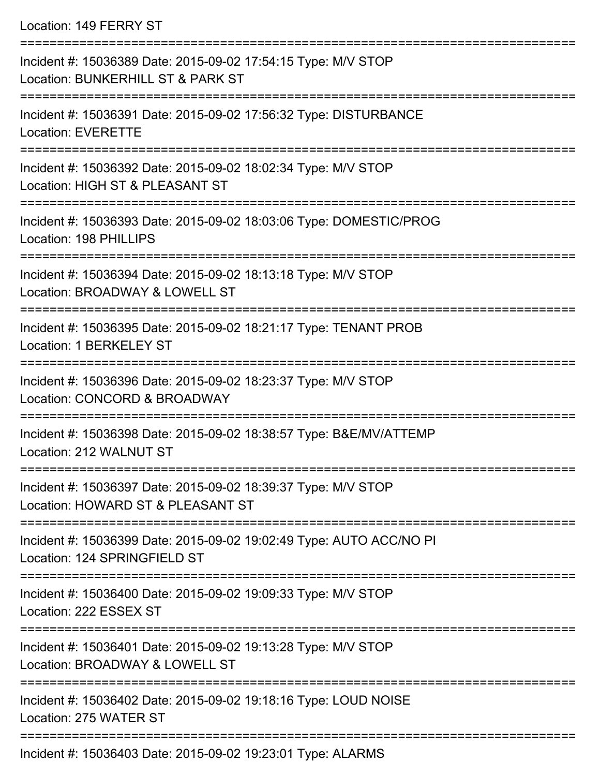Location: 149 FERRY ST

| Incident #: 15036389 Date: 2015-09-02 17:54:15 Type: M/V STOP<br>Location: BUNKERHILL ST & PARK ST                  |
|---------------------------------------------------------------------------------------------------------------------|
| Incident #: 15036391 Date: 2015-09-02 17:56:32 Type: DISTURBANCE<br><b>Location: EVERETTE</b><br>================== |
| Incident #: 15036392 Date: 2015-09-02 18:02:34 Type: M/V STOP<br>Location: HIGH ST & PLEASANT ST                    |
| Incident #: 15036393 Date: 2015-09-02 18:03:06 Type: DOMESTIC/PROG<br>Location: 198 PHILLIPS                        |
| Incident #: 15036394 Date: 2015-09-02 18:13:18 Type: M/V STOP<br>Location: BROADWAY & LOWELL ST                     |
| Incident #: 15036395 Date: 2015-09-02 18:21:17 Type: TENANT PROB<br>Location: 1 BERKELEY ST                         |
| Incident #: 15036396 Date: 2015-09-02 18:23:37 Type: M/V STOP<br>Location: CONCORD & BROADWAY                       |
| Incident #: 15036398 Date: 2015-09-02 18:38:57 Type: B&E/MV/ATTEMP<br>Location: 212 WALNUT ST                       |
| Incident #: 15036397 Date: 2015-09-02 18:39:37 Type: M/V STOP<br>Location: HOWARD ST & PLEASANT ST                  |
| Incident #: 15036399 Date: 2015-09-02 19:02:49 Type: AUTO ACC/NO PI<br>Location: 124 SPRINGFIELD ST                 |
| Incident #: 15036400 Date: 2015-09-02 19:09:33 Type: M/V STOP<br>Location: 222 ESSEX ST                             |
| Incident #: 15036401 Date: 2015-09-02 19:13:28 Type: M/V STOP<br>Location: BROADWAY & LOWELL ST                     |
| Incident #: 15036402 Date: 2015-09-02 19:18:16 Type: LOUD NOISE<br>Location: 275 WATER ST                           |
| 220402 Dete: 2045.00.00.40:02:04 Tuge: ALADMO                                                                       |

Incident #: 15036403 Date: 2015-09-02 19:23:01 Type: ALARMS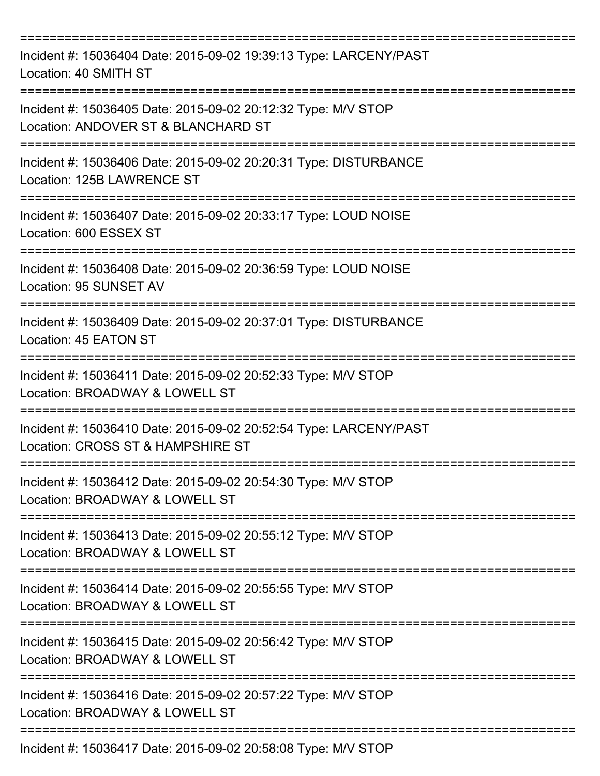| Incident #: 15036404 Date: 2015-09-02 19:39:13 Type: LARCENY/PAST<br>Location: 40 SMITH ST                       |
|------------------------------------------------------------------------------------------------------------------|
| Incident #: 15036405 Date: 2015-09-02 20:12:32 Type: M/V STOP<br>Location: ANDOVER ST & BLANCHARD ST             |
| Incident #: 15036406 Date: 2015-09-02 20:20:31 Type: DISTURBANCE<br>Location: 125B LAWRENCE ST                   |
| Incident #: 15036407 Date: 2015-09-02 20:33:17 Type: LOUD NOISE<br>Location: 600 ESSEX ST                        |
| Incident #: 15036408 Date: 2015-09-02 20:36:59 Type: LOUD NOISE<br>Location: 95 SUNSET AV                        |
| Incident #: 15036409 Date: 2015-09-02 20:37:01 Type: DISTURBANCE<br>Location: 45 EATON ST<br>------------------- |
| Incident #: 15036411 Date: 2015-09-02 20:52:33 Type: M/V STOP<br>Location: BROADWAY & LOWELL ST                  |
| Incident #: 15036410 Date: 2015-09-02 20:52:54 Type: LARCENY/PAST<br>Location: CROSS ST & HAMPSHIRE ST           |
| Incident #: 15036412 Date: 2015-09-02 20:54:30 Type: M/V STOP<br>Location: BROADWAY & LOWELL ST                  |
| Incident #: 15036413 Date: 2015-09-02 20:55:12 Type: M/V STOP<br>Location: BROADWAY & LOWELL ST                  |
| Incident #: 15036414 Date: 2015-09-02 20:55:55 Type: M/V STOP<br>Location: BROADWAY & LOWELL ST                  |
| Incident #: 15036415 Date: 2015-09-02 20:56:42 Type: M/V STOP<br>Location: BROADWAY & LOWELL ST                  |
| Incident #: 15036416 Date: 2015-09-02 20:57:22 Type: M/V STOP<br>Location: BROADWAY & LOWELL ST                  |
| Incident #: 15036417 Date: 2015-09-02 20:58:08 Type: M/V STOP                                                    |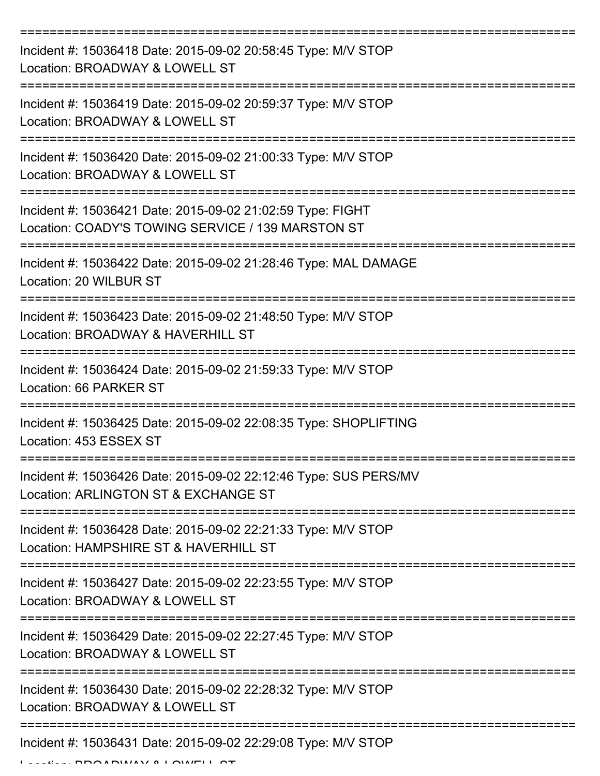| Incident #: 15036418 Date: 2015-09-02 20:58:45 Type: M/V STOP<br>Location: BROADWAY & LOWELL ST                 |
|-----------------------------------------------------------------------------------------------------------------|
| Incident #: 15036419 Date: 2015-09-02 20:59:37 Type: M/V STOP<br>Location: BROADWAY & LOWELL ST                 |
| Incident #: 15036420 Date: 2015-09-02 21:00:33 Type: M/V STOP<br>Location: BROADWAY & LOWELL ST                 |
| Incident #: 15036421 Date: 2015-09-02 21:02:59 Type: FIGHT<br>Location: COADY'S TOWING SERVICE / 139 MARSTON ST |
| Incident #: 15036422 Date: 2015-09-02 21:28:46 Type: MAL DAMAGE<br>Location: 20 WILBUR ST                       |
| Incident #: 15036423 Date: 2015-09-02 21:48:50 Type: M/V STOP<br>Location: BROADWAY & HAVERHILL ST              |
| Incident #: 15036424 Date: 2015-09-02 21:59:33 Type: M/V STOP<br>Location: 66 PARKER ST<br>==========           |
| Incident #: 15036425 Date: 2015-09-02 22:08:35 Type: SHOPLIFTING<br>Location: 453 ESSEX ST                      |
| Incident #: 15036426 Date: 2015-09-02 22:12:46 Type: SUS PERS/MV<br>Location: ARLINGTON ST & EXCHANGE ST        |
| Incident #: 15036428 Date: 2015-09-02 22:21:33 Type: M/V STOP<br>Location: HAMPSHIRE ST & HAVERHILL ST          |
| Incident #: 15036427 Date: 2015-09-02 22:23:55 Type: M/V STOP<br>Location: BROADWAY & LOWELL ST                 |
| Incident #: 15036429 Date: 2015-09-02 22:27:45 Type: M/V STOP<br>Location: BROADWAY & LOWELL ST                 |
| Incident #: 15036430 Date: 2015-09-02 22:28:32 Type: M/V STOP<br>Location: BROADWAY & LOWELL ST                 |
| Incident #: 15036431 Date: 2015-09-02 22:29:08 Type: M/V STOP                                                   |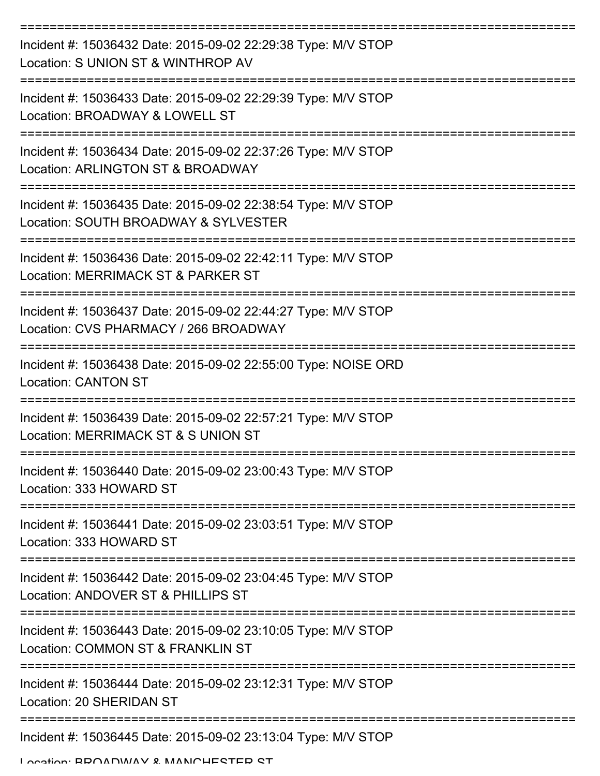| Incident #: 15036432 Date: 2015-09-02 22:29:38 Type: M/V STOP<br>Location: S UNION ST & WINTHROP AV    |
|--------------------------------------------------------------------------------------------------------|
| Incident #: 15036433 Date: 2015-09-02 22:29:39 Type: M/V STOP<br>Location: BROADWAY & LOWELL ST        |
| Incident #: 15036434 Date: 2015-09-02 22:37:26 Type: M/V STOP<br>Location: ARLINGTON ST & BROADWAY     |
| Incident #: 15036435 Date: 2015-09-02 22:38:54 Type: M/V STOP<br>Location: SOUTH BROADWAY & SYLVESTER  |
| Incident #: 15036436 Date: 2015-09-02 22:42:11 Type: M/V STOP<br>Location: MERRIMACK ST & PARKER ST    |
| Incident #: 15036437 Date: 2015-09-02 22:44:27 Type: M/V STOP<br>Location: CVS PHARMACY / 266 BROADWAY |
| Incident #: 15036438 Date: 2015-09-02 22:55:00 Type: NOISE ORD<br><b>Location: CANTON ST</b>           |
| Incident #: 15036439 Date: 2015-09-02 22:57:21 Type: M/V STOP<br>Location: MERRIMACK ST & S UNION ST   |
| Incident #: 15036440 Date: 2015-09-02 23:00:43 Type: M/V STOP<br>Location: 333 HOWARD ST               |
| Incident #: 15036441 Date: 2015-09-02 23:03:51 Type: M/V STOP<br>Location: 333 HOWARD ST               |
| Incident #: 15036442 Date: 2015-09-02 23:04:45 Type: M/V STOP<br>Location: ANDOVER ST & PHILLIPS ST    |
| Incident #: 15036443 Date: 2015-09-02 23:10:05 Type: M/V STOP<br>Location: COMMON ST & FRANKLIN ST     |
| Incident #: 15036444 Date: 2015-09-02 23:12:31 Type: M/V STOP<br>Location: 20 SHERIDAN ST              |
| Incident #: 15036445 Date: 2015-09-02 23:13:04 Type: M/V STOP                                          |